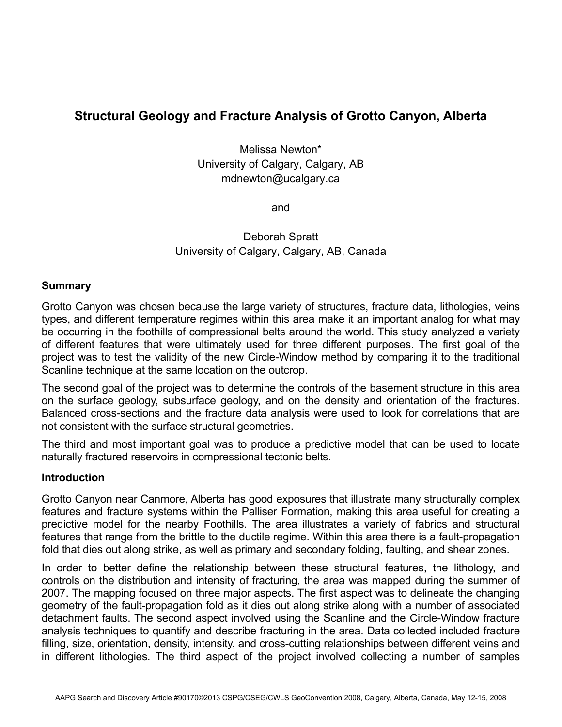# **Structural Geology and Fracture Analysis of Grotto Canyon, Alberta**

Melissa Newton\* University of Calgary, Calgary, AB mdnewton@ucalgary.ca

and

Deborah Spratt University of Calgary, Calgary, AB, Canada

## **Summary**

Grotto Canyon was chosen because the large variety of structures, fracture data, lithologies, veins types, and different temperature regimes within this area make it an important analog for what may be occurring in the foothills of compressional belts around the world. This study analyzed a variety of different features that were ultimately used for three different purposes. The first goal of the project was to test the validity of the new Circle-Window method by comparing it to the traditional Scanline technique at the same location on the outcrop.

The second goal of the project was to determine the controls of the basement structure in this area on the surface geology, subsurface geology, and on the density and orientation of the fractures. Balanced cross-sections and the fracture data analysis were used to look for correlations that are not consistent with the surface structural geometries.

The third and most important goal was to produce a predictive model that can be used to locate naturally fractured reservoirs in compressional tectonic belts.

### **Introduction**

Grotto Canyon near Canmore, Alberta has good exposures that illustrate many structurally complex features and fracture systems within the Palliser Formation, making this area useful for creating a predictive model for the nearby Foothills. The area illustrates a variety of fabrics and structural features that range from the brittle to the ductile regime. Within this area there is a fault-propagation fold that dies out along strike, as well as primary and secondary folding, faulting, and shear zones.

In order to better define the relationship between these structural features, the lithology, and controls on the distribution and intensity of fracturing, the area was mapped during the summer of 2007. The mapping focused on three major aspects. The first aspect was to delineate the changing geometry of the fault-propagation fold as it dies out along strike along with a number of associated detachment faults. The second aspect involved using the Scanline and the Circle-Window fracture analysis techniques to quantify and describe fracturing in the area. Data collected included fracture filling, size, orientation, density, intensity, and cross-cutting relationships between different veins and in different lithologies. The third aspect of the project involved collecting a number of samples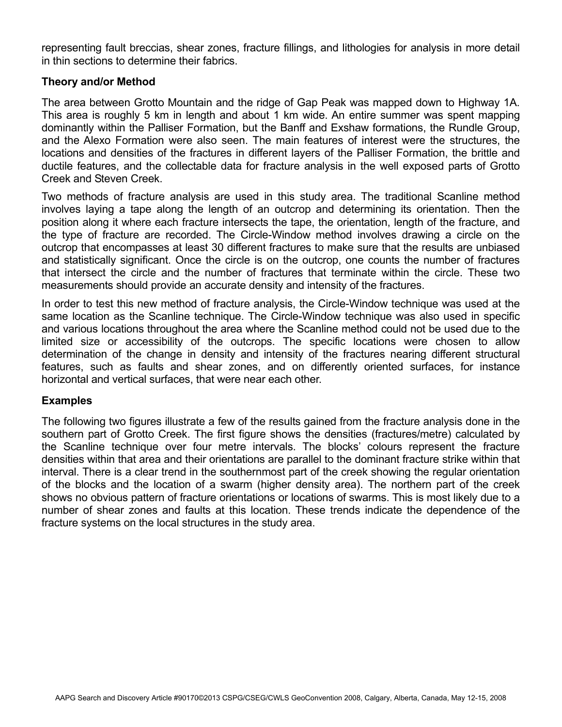representing fault breccias, shear zones, fracture fillings, and lithologies for analysis in more detail in thin sections to determine their fabrics.

## **Theory and/or Method**

The area between Grotto Mountain and the ridge of Gap Peak was mapped down to Highway 1A. This area is roughly 5 km in length and about 1 km wide. An entire summer was spent mapping dominantly within the Palliser Formation, but the Banff and Exshaw formations, the Rundle Group, and the Alexo Formation were also seen. The main features of interest were the structures, the locations and densities of the fractures in different layers of the Palliser Formation, the brittle and ductile features, and the collectable data for fracture analysis in the well exposed parts of Grotto Creek and Steven Creek.

Two methods of fracture analysis are used in this study area. The traditional Scanline method involves laying a tape along the length of an outcrop and determining its orientation. Then the position along it where each fracture intersects the tape, the orientation, length of the fracture, and the type of fracture are recorded. The Circle-Window method involves drawing a circle on the outcrop that encompasses at least 30 different fractures to make sure that the results are unbiased and statistically significant. Once the circle is on the outcrop, one counts the number of fractures that intersect the circle and the number of fractures that terminate within the circle. These two measurements should provide an accurate density and intensity of the fractures.

In order to test this new method of fracture analysis, the Circle-Window technique was used at the same location as the Scanline technique. The Circle-Window technique was also used in specific and various locations throughout the area where the Scanline method could not be used due to the limited size or accessibility of the outcrops. The specific locations were chosen to allow determination of the change in density and intensity of the fractures nearing different structural features, such as faults and shear zones, and on differently oriented surfaces, for instance horizontal and vertical surfaces, that were near each other.

### **Examples**

The following two figures illustrate a few of the results gained from the fracture analysis done in the southern part of Grotto Creek. The first figure shows the densities (fractures/metre) calculated by the Scanline technique over four metre intervals. The blocks' colours represent the fracture densities within that area and their orientations are parallel to the dominant fracture strike within that interval. There is a clear trend in the southernmost part of the creek showing the regular orientation of the blocks and the location of a swarm (higher density area). The northern part of the creek shows no obvious pattern of fracture orientations or locations of swarms. This is most likely due to a number of shear zones and faults at this location. These trends indicate the dependence of the fracture systems on the local structures in the study area.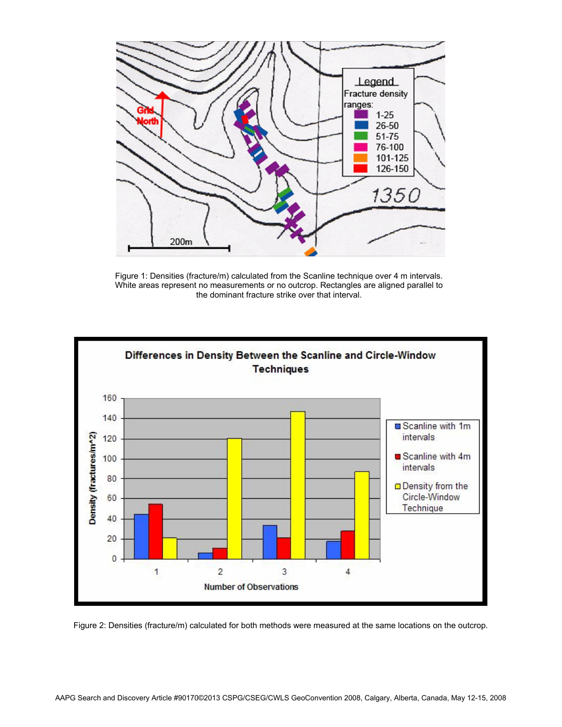

Figure 1: Densities (fracture/m) calculated from the Scanline technique over 4 m intervals. White areas represent no measurements or no outcrop. Rectangles are aligned parallel to the dominant fracture strike over that interval.



Figure 2: Densities (fracture/m) calculated for both methods were measured at the same locations on the outcrop.